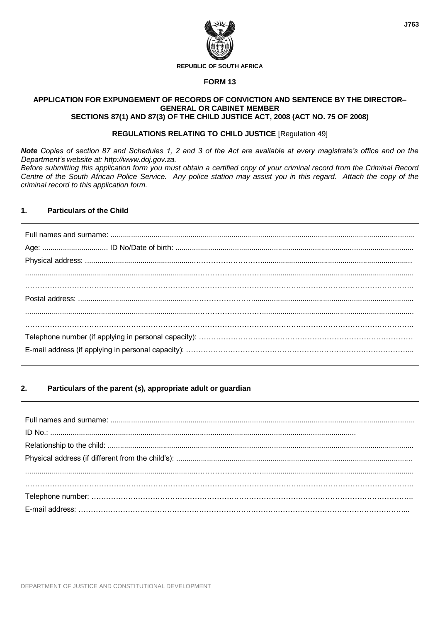

#### **REPUBLIC OF SOUTH AFRICA**

#### **FORM 13**

#### **APPLICATION FOR EXPUNGEMENT OF RECORDS OF CONVICTION AND SENTENCE BY THE DIRECTOR– GENERAL OR CABINET MEMBER SECTIONS 87(1) AND 87(3) OF THE CHILD JUSTICE ACT, 2008 (ACT NO. 75 OF 2008)**

## **REGULATIONS RELATING TO CHILD JUSTICE** [Regulation 49]

*Note Copies of section 87 and Schedules 1, 2 and 3 of the Act are available at every magistrate's office and on the Department's website at: http://www.doj.gov.za.*

*Before submitting this application form you must obtain a certified copy of your criminal record from the Criminal Record Centre of the South African Police Service. Any police station may assist you in this regard. Attach the copy of the criminal record to this application form.*

## **1. Particulars of the Child**

#### **2. Particulars of the parent (s), appropriate adult or guardian**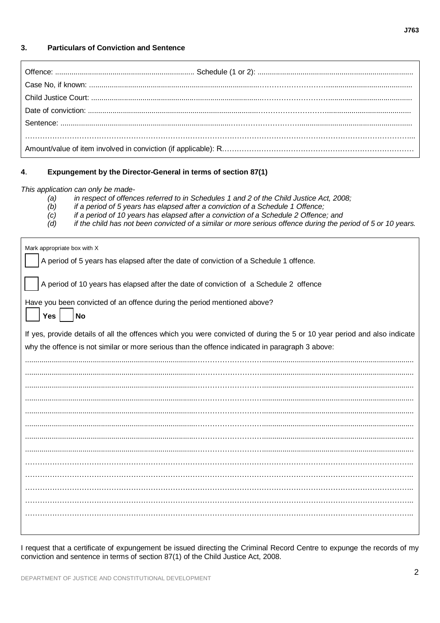## **3. Particulars of Conviction and Sentence**

# **4**. **Expungement by the Director-General in terms of section 87(1)**

*This application can only be made-*

*(a) in respect of offences referred to in Schedules 1 and 2 of the Child Justice Act, 2008;*

- *(b) if a period of 5 years has elapsed after a conviction of a Schedule 1 Offence;*
- *(c) if a period of 10 years has elapsed after a conviction of a Schedule 2 Offence; and*
- *(d) if the child has not been convicted of a similar or more serious offence during the period of 5 or 10 years.*

| A period of 10 years has elapsed after the date of conviction of a Schedule 2 offence<br>Have you been convicted of an offence during the period mentioned above?<br>Yes<br>No<br>If yes, provide details of all the offences which you were convicted of during the 5 or 10 year period and also indicate<br>why the offence is not similar or more serious than the offence indicated in paragraph 3 above: |
|---------------------------------------------------------------------------------------------------------------------------------------------------------------------------------------------------------------------------------------------------------------------------------------------------------------------------------------------------------------------------------------------------------------|
|                                                                                                                                                                                                                                                                                                                                                                                                               |
|                                                                                                                                                                                                                                                                                                                                                                                                               |
|                                                                                                                                                                                                                                                                                                                                                                                                               |
|                                                                                                                                                                                                                                                                                                                                                                                                               |
|                                                                                                                                                                                                                                                                                                                                                                                                               |
|                                                                                                                                                                                                                                                                                                                                                                                                               |
|                                                                                                                                                                                                                                                                                                                                                                                                               |
|                                                                                                                                                                                                                                                                                                                                                                                                               |
|                                                                                                                                                                                                                                                                                                                                                                                                               |
|                                                                                                                                                                                                                                                                                                                                                                                                               |
|                                                                                                                                                                                                                                                                                                                                                                                                               |
|                                                                                                                                                                                                                                                                                                                                                                                                               |
|                                                                                                                                                                                                                                                                                                                                                                                                               |
|                                                                                                                                                                                                                                                                                                                                                                                                               |
|                                                                                                                                                                                                                                                                                                                                                                                                               |
|                                                                                                                                                                                                                                                                                                                                                                                                               |
|                                                                                                                                                                                                                                                                                                                                                                                                               |
|                                                                                                                                                                                                                                                                                                                                                                                                               |

I request that a certificate of expungement be issued directing the Criminal Record Centre to expunge the records of my conviction and sentence in terms of section 87(1) of the Child Justice Act, 2008.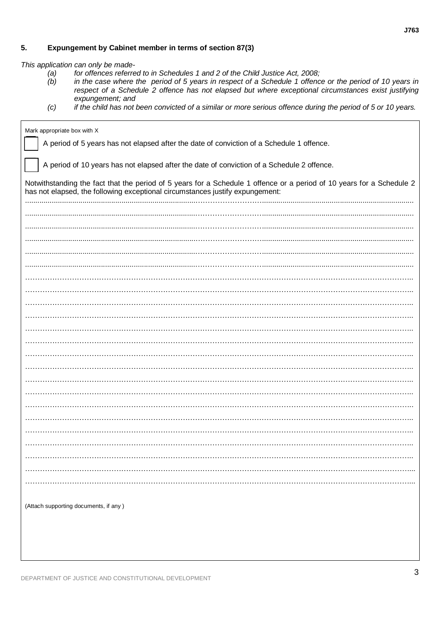#### 5. Expungement by Cabinet member in terms of section 87(3)

This application can only be made-

- $(a)$ <br> $(b)$ for offences referred to in Schedules 1 and 2 of the Child Justice Act, 2008;
- in the case where the period of 5 years in respect of a Schedule 1 offence or the period of 10 years in respect of a Schedule 2 offence has not elapsed but where exceptional circumstances exist justifying expungement; and
- if the child has not been convicted of a similar or more serious offence during the period of 5 or 10 years.  $(c)$

| Mark appropriate box with X                                                                                                                                                                            |  |  |
|--------------------------------------------------------------------------------------------------------------------------------------------------------------------------------------------------------|--|--|
| A period of 5 years has not elapsed after the date of conviction of a Schedule 1 offence.                                                                                                              |  |  |
| A period of 10 years has not elapsed after the date of conviction of a Schedule 2 offence.                                                                                                             |  |  |
| Notwithstanding the fact that the period of 5 years for a Schedule 1 offence or a period of 10 years for a Schedule 2<br>has not elapsed, the following exceptional circumstances justify expungement: |  |  |
|                                                                                                                                                                                                        |  |  |
|                                                                                                                                                                                                        |  |  |
|                                                                                                                                                                                                        |  |  |
|                                                                                                                                                                                                        |  |  |
|                                                                                                                                                                                                        |  |  |
|                                                                                                                                                                                                        |  |  |
|                                                                                                                                                                                                        |  |  |
|                                                                                                                                                                                                        |  |  |
|                                                                                                                                                                                                        |  |  |
|                                                                                                                                                                                                        |  |  |
|                                                                                                                                                                                                        |  |  |
|                                                                                                                                                                                                        |  |  |
|                                                                                                                                                                                                        |  |  |
|                                                                                                                                                                                                        |  |  |
|                                                                                                                                                                                                        |  |  |
|                                                                                                                                                                                                        |  |  |
|                                                                                                                                                                                                        |  |  |
|                                                                                                                                                                                                        |  |  |
|                                                                                                                                                                                                        |  |  |
|                                                                                                                                                                                                        |  |  |
|                                                                                                                                                                                                        |  |  |
|                                                                                                                                                                                                        |  |  |
|                                                                                                                                                                                                        |  |  |
| (Attach supporting documents, if any)                                                                                                                                                                  |  |  |
|                                                                                                                                                                                                        |  |  |